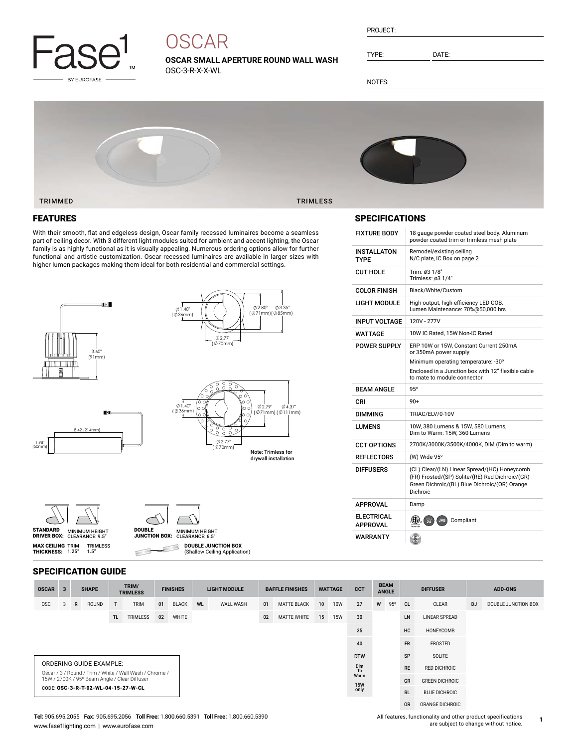

# **OSCAR**

**OSCAR SMALL APERTURE ROUND WALL WASH** OSC-3-R-X-X-WL

| PROJECT: |  |
|----------|--|
|          |  |

TYPE: DATE:

NOTES:



### FEATURES

With their smooth, flat and edgeless design, Oscar family recessed luminaires become a seamless part of ceiling decor. With 3 different light modules suited for ambient and accent lighting, the Oscar family is as highly functional as it is visually appealing. Numerous ordering options allow for further functional and artistic customization. Oscar recessed luminaires are available in larger sizes with higher lumen packages making them ideal for both residential and commercial settings.







**MAX CEILING** TRIM<br>**THICKNESS:** 1.25"



**DOUBLE JUNCTION BOX** ₿

(Shallow Ceiling Application) $\subset$ 

#### SPECIFICATION GUIDE

TRIMLESS 1.5"

| <b>OSCAR</b>                                                                              | $\mathbf{3}$ |   | <b>SHAPE</b> |     | TRIM/<br><b>TRIMLESS</b> | <b>FINISHES</b> |              | <b>LIGHT MODULE</b> |                       | <b>BAFFLE FINISHES</b> |                    | <b>WATTAGE</b>        |                     | <b>CCT</b> | <b>BEAM</b><br><b>ANGLE</b> |           | <b>DIFFUSER</b> |                      | <b>ADD-ONS</b> |                     |
|-------------------------------------------------------------------------------------------|--------------|---|--------------|-----|--------------------------|-----------------|--------------|---------------------|-----------------------|------------------------|--------------------|-----------------------|---------------------|------------|-----------------------------|-----------|-----------------|----------------------|----------------|---------------------|
| <b>OSC</b>                                                                                | -3           | R | ROUND        | T   | <b>TRIM</b>              | 01              | <b>BLACK</b> | WL                  | <b>WALL WASH</b>      | 01                     | <b>MATTE BLACK</b> | 10 <sup>1</sup>       | <b>10W</b>          | 27         | W                           | 95°       | <sub>CL</sub>   | <b>CLEAR</b>         | <b>DJ</b>      | DOUBLE JUNCTION BOX |
|                                                                                           |              |   |              | TL. | <b>TRIMLESS</b>          | 02              | WHITE        |                     |                       | 02                     | <b>MATTE WHITE</b> | 15                    | <b>15W</b>          | 30         |                             |           | LN              | <b>LINEAR SPREAD</b> |                |                     |
|                                                                                           | 35           |   |              |     |                          |                 |              |                     | HC                    | HONEYCOMB              |                    |                       |                     |            |                             |           |                 |                      |                |                     |
|                                                                                           |              |   |              |     |                          |                 |              |                     |                       |                        |                    |                       | 40                  |            |                             | <b>FR</b> | FROSTED         |                      |                |                     |
| <b>DTW</b>                                                                                |              |   |              |     |                          |                 |              |                     |                       | SP                     | SOLITE             |                       |                     |            |                             |           |                 |                      |                |                     |
| <b>ORDERING GUIDE EXAMPLE:</b><br>Oscar / 3 / Round / Trim / White / Wall Wash / Chrome / |              |   |              |     |                          |                 |              |                     | Dim<br>T <sub>o</sub> |                        |                    | <b>RE</b>             | <b>RED DICHROIC</b> |            |                             |           |                 |                      |                |                     |
| 15W / 2700K / 95° Beam Angle / Clear Diffuser                                             |              |   |              |     |                          |                 |              | Warm                | GR                    |                        |                    | <b>GREEN DICHROIC</b> |                     |            |                             |           |                 |                      |                |                     |
| CODE: OSC-3-R-T-02-WL-04-15-27-W-CL                                                       |              |   |              |     |                          |                 |              | 15W<br>only         |                       |                        | <b>BL</b>          | <b>BLUE DICHROIC</b>  |                     |            |                             |           |                 |                      |                |                     |
|                                                                                           |              |   |              |     |                          |                 |              |                     |                       |                        |                    |                       |                     |            |                             |           | <b>OR</b>       | ORANGE DICHROIC      |                |                     |

#### SPECIFICATIONS

| <b>FIXTURE BODY</b>                  | 18 gauge powder coated steel body. Aluminum<br>powder coated trim or trimless mesh plate                                                                     |
|--------------------------------------|--------------------------------------------------------------------------------------------------------------------------------------------------------------|
| INSTALLATON<br>TYPF                  | Remodel/existing ceiling<br>N/C plate, IC Box on page 2                                                                                                      |
| <b>CUT HOLE</b>                      | Trim: 03 1/8"<br>Trimless: ø3 1/4"                                                                                                                           |
| <b>COLOR FINISH</b>                  | Black/White/Custom                                                                                                                                           |
| LIGHT MODULE                         | High output, high efficiency LED COB.<br>Lumen Maintenance: 70%@50.000 hrs                                                                                   |
| <b>INPUT VOLTAGE</b>                 | 120V - 277V                                                                                                                                                  |
| WATTAGE                              | 10W IC Rated. 15W Non-IC Rated                                                                                                                               |
| <b>POWER SUPPLY</b>                  | ERP 10W or 15W, Constant Current 250mA<br>or 350mA power supply                                                                                              |
|                                      | Minimum operating temperature: -30°                                                                                                                          |
|                                      | Enclosed in a Junction box with 12" flexible cable<br>to mate to module connector                                                                            |
|                                      |                                                                                                                                                              |
| <b>BFAM ANGIF</b>                    | $95^\circ$                                                                                                                                                   |
| CRI                                  | $90+$                                                                                                                                                        |
| <b>DIMMING</b>                       | TRIAC/ELV/0-10V                                                                                                                                              |
| <b>I UMFNS</b>                       | 10W, 380 Lumens & 15W, 580 Lumens,<br>Dim to Warm: 15W, 360 Lumens                                                                                           |
| <b>CCT OPTIONS</b>                   | 2700K/3000K/3500K/4000K, DIM (Dim to warm)                                                                                                                   |
| <b>REFLECTORS</b>                    | (W) Wide 95°                                                                                                                                                 |
| <b>DIFFUSERS</b>                     | (CL) Clear/(LN) Linear Spread/(HC) Honeycomb<br>(FR) Frosted/(SP) Solite/(RE) Red Dichroic/(GR)<br>Green Dichroic/(BL) Blue Dichroic/(OR) Orange<br>Dichroic |
| APPROVAL                             | Damp                                                                                                                                                         |
| <b>ELECTRICAL</b><br><b>APPROVAL</b> | (CIV)<br>吸<br>JA8<br>Compliant                                                                                                                               |

**1**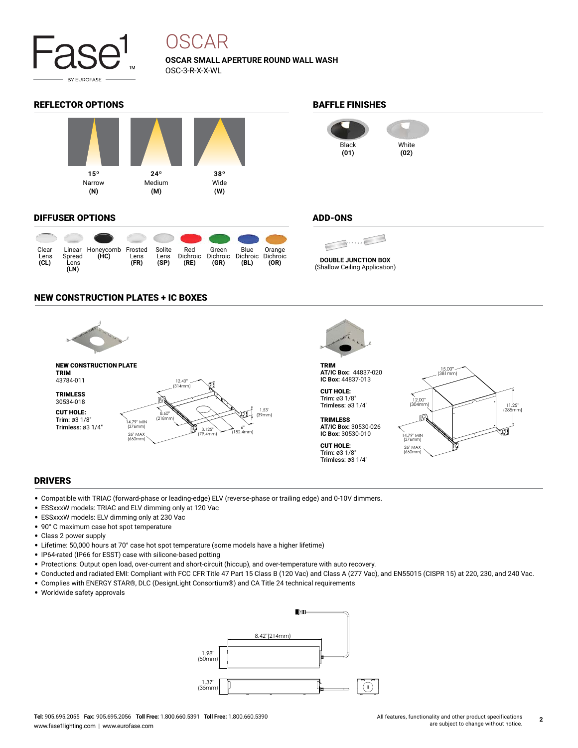

## OSCAR

**OSCAR SMALL APERTURE ROUND WALL WASH** OSC-3-R-X-X-WL

#### REFLECTOR OPTIONS **BAFFLE FINISHES**



#### DIFFUSER OPTIONS

| Clear<br>Lens<br>CL) | Spread<br>Lens<br>(LN) | Linear Honeycomb Frosted<br>(HC) | Lens<br>(FR) | Solite<br>Lens<br>(SP) | Red<br>Dichroic<br>(RE) | Green<br>(GR) | Blue<br>Dichroic Dichroic Dichroic<br>(BL) | Orange<br>(OR) |
|----------------------|------------------------|----------------------------------|--------------|------------------------|-------------------------|---------------|--------------------------------------------|----------------|



#### ADD-ONS



(Shallow Ceiling Application)

#### NEW CONSTRUCTION PLATES + IC BOXES





#### DRIVERS

- Compatible with TRIAC (forward-phase or leading-edge) ELV (reverse-phase or trailing edge) and 0-10V dimmers.
- ESSxxxW models: TRIAC and ELV dimming only at 120 Vac
- ESSxxxW models: ELV dimming only at 230 Vac
- 90° C maximum case hot spot temperature
- Class 2 power supply
- Lifetime: 50,000 hours at 70° case hot spot temperature (some models have a higher lifetime)
- IP64-rated (IP66 for ESST) case with silicone-based potting
- Protections: Output open load, over-current and short-circuit (hiccup), and over-temperature with auto recovery.
- Conducted and radiated EMI: Compliant with FCC CFR Title 47 Part 15 Class B (120 Vac) and Class A (277 Vac), and EN55015 (CISPR 15) at 220, 230, and 240 Vac.
- Complies with ENERGY STAR®, DLC (DesignLight Consortium®) and CA Title 24 technical requirements
- Worldwide safety approvals